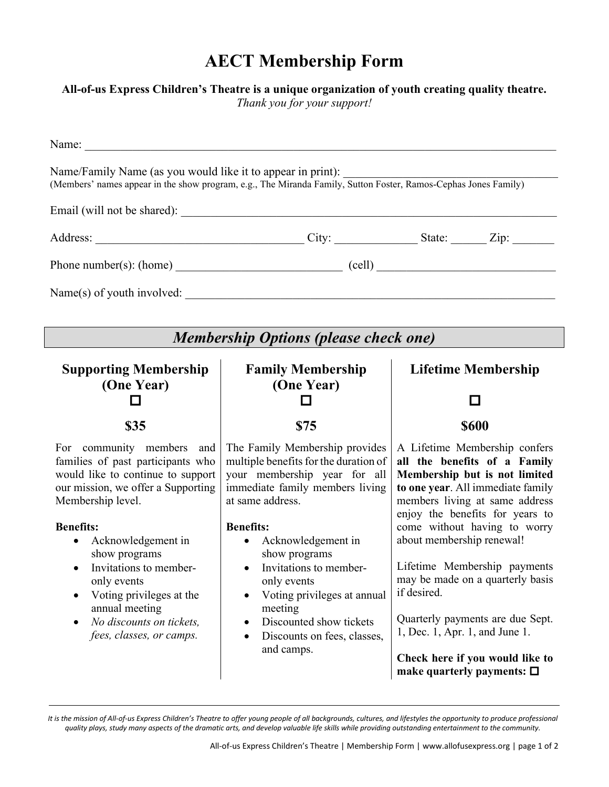## **AECT Membership Form**

## **All-of-us Express Children's Theatre is a unique organization of youth creating quality theatre.**

*Thank you for your support!*

| Name:                                                                                                                                                                          |                                                                                                                                                                |                                                                                                                                                                                                          |
|--------------------------------------------------------------------------------------------------------------------------------------------------------------------------------|----------------------------------------------------------------------------------------------------------------------------------------------------------------|----------------------------------------------------------------------------------------------------------------------------------------------------------------------------------------------------------|
| Name/Family Name (as you would like it to appear in print):<br>(Members' names appear in the show program, e.g., The Miranda Family, Sutton Foster, Ramos-Cephas Jones Family) |                                                                                                                                                                |                                                                                                                                                                                                          |
|                                                                                                                                                                                |                                                                                                                                                                |                                                                                                                                                                                                          |
|                                                                                                                                                                                |                                                                                                                                                                |                                                                                                                                                                                                          |
| Phone number(s): (home) $\qquad \qquad$ (cell)                                                                                                                                 |                                                                                                                                                                |                                                                                                                                                                                                          |
| Name(s) of youth involved:                                                                                                                                                     |                                                                                                                                                                |                                                                                                                                                                                                          |
|                                                                                                                                                                                |                                                                                                                                                                |                                                                                                                                                                                                          |
| <b>Membership Options (please check one)</b>                                                                                                                                   |                                                                                                                                                                |                                                                                                                                                                                                          |
| <b>Supporting Membership</b>                                                                                                                                                   | <b>Family Membership</b>                                                                                                                                       | <b>Lifetime Membership</b>                                                                                                                                                                               |
| (One Year)                                                                                                                                                                     | (One Year)                                                                                                                                                     |                                                                                                                                                                                                          |
| \$35                                                                                                                                                                           | \$75                                                                                                                                                           | <b>\$600</b>                                                                                                                                                                                             |
| For community members and<br>families of past participants who<br>would like to continue to support<br>our mission, we offer a Supporting<br>Membership level.                 | The Family Membership provides<br>multiple benefits for the duration of<br>your membership year for all<br>immediate family members living<br>at same address. | A Lifetime Membership confers<br>all the benefits of a Family<br>Membership but is not limited<br>to one year. All immediate family<br>members living at same address<br>enjoy the benefits for years to |
| <b>Benefits:</b><br>$\Delta$ cknowledgement in                                                                                                                                 | <b>Benefits:</b><br>$\Delta$ cknowledgement in                                                                                                                 | come without having to worry<br>about membershin renewall                                                                                                                                                |

- Acknowledgement in show programs
- Invitations to memberonly events
- Voting privileges at the annual meeting
- *No discounts on tickets, fees, classes, or camps.*
- Acknowledgement in show programs
- Invitations to memberonly events
- Voting privileges at annual meeting
- Discounted show tickets
- Discounts on fees, classes, and camps.

Lifetime Membership payments may be made on a quarterly basis if desired.

Quarterly payments are due Sept. 1, Dec. 1, Apr. 1, and June 1.

**Check here if you would like to make quarterly payments:**

*It is the mission of All-of-us Express Children's Theatre to offer young people of all backgrounds, cultures, and lifestyles the opportunity to produce professional quality plays, study many aspects of the dramatic arts, and develop valuable life skills while providing outstanding entertainment to the community.*